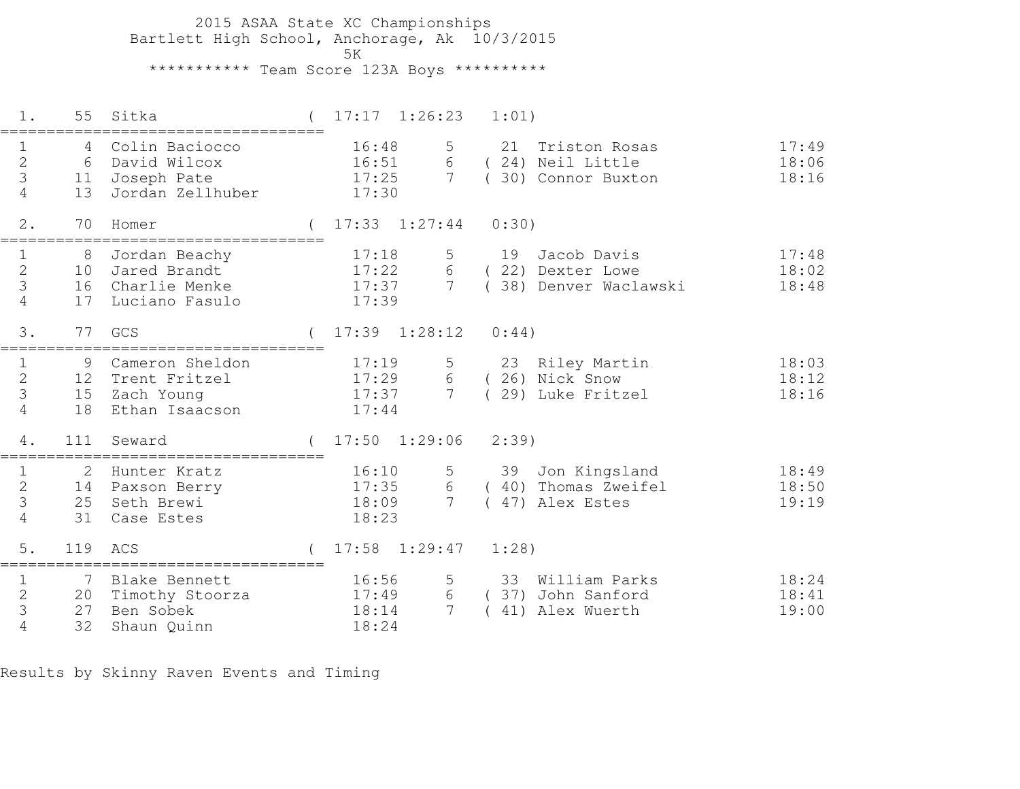2015 ASAA State XC Championships Bartlett High School, Anchorage, Ak 10/3/2015 5K\*\*\*\*\*\*\*\*\*\*\* Team Score 123A Boys \*\*\*\*\*\*\*\*\*\*

| $1$ .                                                           | 55                                | Sitka                                                              | $17:17 \quad 1:26:23$            |                           | 1:01)                                                      |                         |
|-----------------------------------------------------------------|-----------------------------------|--------------------------------------------------------------------|----------------------------------|---------------------------|------------------------------------------------------------|-------------------------|
| $\mathbf 1$<br>$\mathbf{2}$<br>3<br>$\overline{4}$              | 6<br>11<br>13                     | Colin Baciocco<br>David Wilcox<br>Joseph Pate<br>Jordan Zellhuber  | 16:48<br>16:51<br>17:25<br>17:30 | 5<br>6<br>$7\overline{ }$ | 21 Triston Rosas<br>(24) Neil Little<br>30) Connor Buxton  | 17:49<br>18:06<br>18:16 |
| 2.                                                              | 70                                | Homer                                                              | $(17:33 \t1:27:44)$              |                           | 0:30)                                                      |                         |
| $\mathbf{1}$<br>$\mathbf{2}$<br>$\mathcal{S}$<br>4              | 10<br>16<br>17                    | 8 Jordan Beachy<br>Jared Brandt<br>Charlie Menke<br>Luciano Fasulo | 17:18<br>17:22<br>17:37<br>17:39 | 5<br>6<br>$7\overline{ }$ | 19 Jacob Davis<br>(22) Dexter Lowe<br>38) Denver Waclawski | 17:48<br>18:02<br>18:48 |
| 3.                                                              | 77                                | GCS                                                                | $17:39$ $1:28:12$                |                           | 0:44)                                                      |                         |
| $\mathbf{1}$<br>$\overline{2}$<br>$\mathfrak{Z}$<br>4           | 9<br>12<br>15<br>18               | Cameron Sheldon<br>Trent Fritzel<br>Zach Young<br>Ethan Isaacson   | 17:19<br>17:29<br>17:37<br>17:44 | 5<br>6<br>$7\overline{ }$ | 23 Riley Martin<br>(26) Nick Snow<br>(29) Luke Fritzel     | 18:03<br>18:12<br>18:16 |
| 4.                                                              | 111                               | Seward                                                             | $17:50$ $1:29:06$                |                           | $2:39$ )                                                   |                         |
| 1<br>$\mathbf 2$<br>3<br>$\overline{4}$                         | 2<br>25<br>31                     | Hunter Kratz<br>14 Paxson Berry<br>Seth Brewi<br>Case Estes        | 16:10<br>17:35<br>18:09<br>18:23 | 5<br>6<br>$7\overline{ }$ | 39 Jon Kingsland<br>(40) Thomas Zweifel<br>47) Alex Estes  | 18:49<br>18:50<br>19:19 |
| 5.                                                              | 119                               | ACS                                                                | $17:58$ $1:29:47$                |                           | $1:28$ )                                                   |                         |
| $\mathbf{1}$<br>$\mathbf{2}$<br>$\mathcal{S}$<br>$\overline{4}$ | $7\overline{ }$<br>20<br>27<br>32 | Blake Bennett<br>Timothy Stoorza<br>Ben Sobek<br>Shaun Quinn       | 16:56<br>17:49<br>18:14<br>18:24 | 5<br>6<br>7               | 33 William Parks<br>(37) John Sanford<br>41) Alex Wuerth   | 18:24<br>18:41<br>19:00 |

Results by Skinny Raven Events and Timing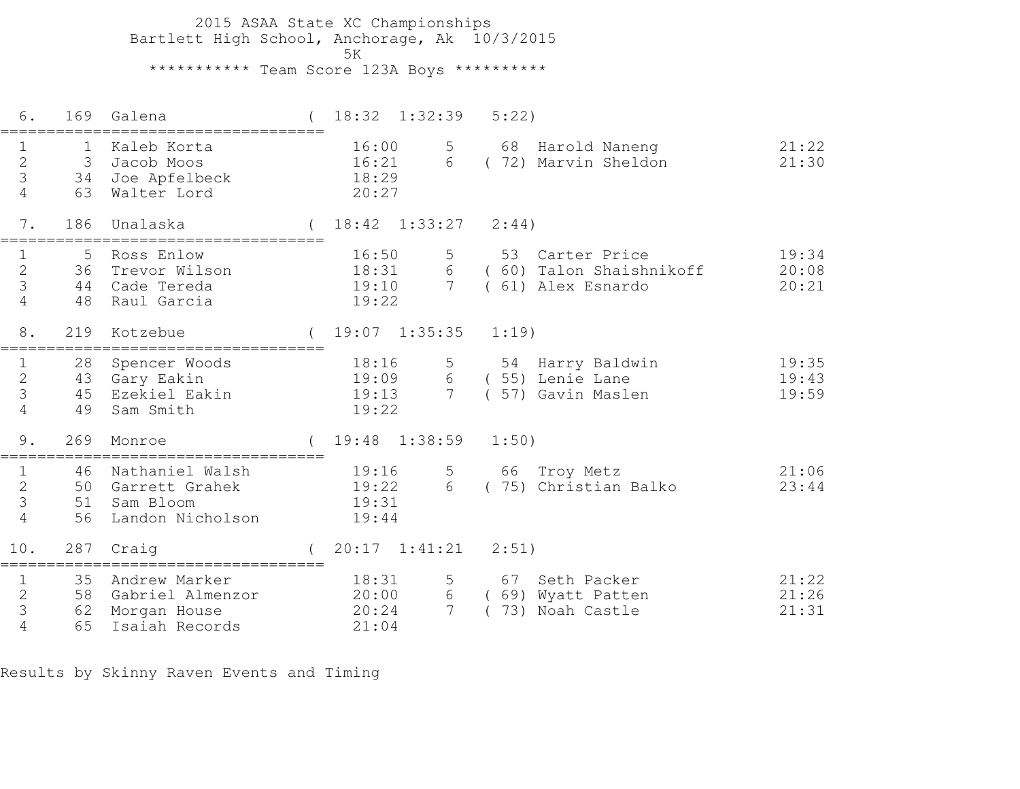2015 ASAA State XC Championships Bartlett High School, Anchorage, Ak 10/3/2015ta di kacamatan ing Kabupatèn Kabupatèn Kabupatèn Kabupatèn Kabupatèn Kabupatèn Kabupatèn Kabupatèn K \*\*\*\*\*\*\*\*\*\*\* Team Score 123A Boys \*\*\*\*\*\*\*\*\*\*

| 6.                                                    | 169                          | Galena                                                              |                                  | $18:32$ $1:32:39$         | 5:22)    |                                                                   |                         |
|-------------------------------------------------------|------------------------------|---------------------------------------------------------------------|----------------------------------|---------------------------|----------|-------------------------------------------------------------------|-------------------------|
| $\mathbf 1$<br>$\overline{2}$<br>3<br>$\overline{4}$  | $\mathbf 1$<br>3<br>34<br>63 | Kaleb Korta<br>Jacob Moos<br>Joe Apfelbeck<br>Walter Lord           | 16:00<br>16:21<br>18:29<br>20:27 | 5<br>6                    |          | 68 Harold Naneng<br>(72) Marvin Sheldon                           | 21:22<br>21:30          |
| 7.                                                    | 186                          | Unalaska                                                            |                                  | $(18:42 \quad 1:33:27$    | 2:44)    |                                                                   |                         |
| 1<br>$\overline{2}$<br>3<br>4                         | 5<br>36<br>44<br>48          | Ross Enlow<br>Trevor Wilson<br>Cade Tereda<br>Raul Garcia           | 16:50<br>18:31<br>19:10<br>19:22 | 5<br>7 <sup>1</sup>       |          | 53 Carter Price<br>6 (60) Talon Shaishnikoff<br>(61) Alex Esnardo | 19:34<br>20:08<br>20:21 |
| $8$ .                                                 | 219                          | Kotzebue                                                            |                                  | $(19:07 \quad 1:35:35$    | $1:19$ ) |                                                                   |                         |
| $\mathbf 1$<br>$\mathbf{2}$<br>3<br>4                 | 28<br>49                     | Spencer Woods<br>43 Gary Eakin<br>45 Ezekiel Eakin<br>Sam Smith     | 18:16<br>19:09<br>19:13<br>19:22 | 5<br>6<br>$7\overline{ }$ |          | 54 Harry Baldwin<br>(55) Lenie Lane<br>57) Gavin Maslen           | 19:35<br>19:43<br>19:59 |
| 9.                                                    | 269                          | Monroe                                                              |                                  | $19:48$ $1:38:59$         | 1:50)    |                                                                   |                         |
| $\mathbf{1}$<br>$\overline{2}$<br>3<br>$\overline{4}$ | 46<br>50<br>51<br>56         | Nathaniel Walsh<br>Garrett Grahek<br>Sam Bloom<br>Landon Nicholson  | 19:16<br>19:22<br>19:31<br>19:44 | 5<br>6                    |          | 66 Troy Metz<br>(75) Christian Balko                              | 21:06<br>23:44          |
| 10.                                                   | 287                          | Craig                                                               |                                  | $20:17$ $1:41:21$         | 2:51)    |                                                                   |                         |
| $\mathbf 1$<br>$\overline{2}$<br>3<br>$\overline{4}$  | 35<br>58<br>62<br>65         | Andrew Marker<br>Gabriel Almenzor<br>Morgan House<br>Isaiah Records | 18:31<br>20:00<br>20:24<br>21:04 | 5<br>6<br>$7\overline{ }$ |          | 67 Seth Packer<br>(69) Wyatt Patten<br>73) Noah Castle            | 21:22<br>21:26<br>21:31 |

Results by Skinny Raven Events and Timing